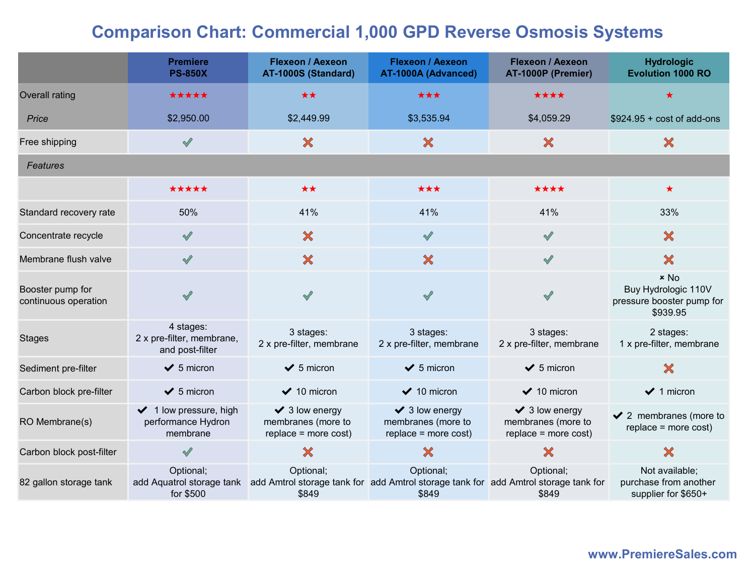## Comparison Chart: Commercial 1,000 GPD Reverse Osmosis Systems

|                                          | <b>Premiere</b><br><b>PS-850X</b>                                            | <b>Flexeon / Aexeon</b><br>AT-1000S (Standard)                            | <b>Flexeon / Aexeon</b><br>AT-1000A (Advanced)                                                            | <b>Flexeon / Aexeon</b><br>AT-1000P (Premier)                           | <b>Hydrologic</b><br><b>Evolution 1000 RO</b>                          |  |  |
|------------------------------------------|------------------------------------------------------------------------------|---------------------------------------------------------------------------|-----------------------------------------------------------------------------------------------------------|-------------------------------------------------------------------------|------------------------------------------------------------------------|--|--|
| Overall rating                           | *****                                                                        | **                                                                        | ***                                                                                                       | ****                                                                    |                                                                        |  |  |
| Price                                    | \$2,950.00                                                                   | \$2,449.99                                                                | \$3,535.94                                                                                                | \$4,059.29                                                              | $$924.95 + cost of add-ons$                                            |  |  |
| Free shipping                            | $\sqrt{}$                                                                    | ×                                                                         | $\boldsymbol{\mathsf{X}}$                                                                                 | $\boldsymbol{\mathsf{x}}$                                               | $\boldsymbol{\mathsf{x}}$                                              |  |  |
| Features                                 |                                                                              |                                                                           |                                                                                                           |                                                                         |                                                                        |  |  |
|                                          | *****                                                                        | **                                                                        | ***                                                                                                       | ****                                                                    | $\star$                                                                |  |  |
| Standard recovery rate                   | 50%                                                                          | 41%                                                                       | 41%                                                                                                       | 41%                                                                     | 33%                                                                    |  |  |
| Concentrate recycle                      | $\mathscr{S}$                                                                | $\boldsymbol{\mathsf{x}}$                                                 | $\sqrt{2}$                                                                                                | $\sqrt{}$                                                               | $\boldsymbol{\mathsf{x}}$                                              |  |  |
| Membrane flush valve                     | $\mathscr{S}$                                                                | $\boldsymbol{\mathsf{x}}$                                                 | $\boldsymbol{\mathsf{X}}$                                                                                 | $\sqrt{}$                                                               | $\boldsymbol{\mathsf{x}}$                                              |  |  |
| Booster pump for<br>continuous operation | $\mathscr{A}$                                                                | $\sqrt{}$                                                                 | $\sqrt{2}$                                                                                                |                                                                         | $x$ No<br>Buy Hydrologic 110V<br>pressure booster pump for<br>\$939.95 |  |  |
| <b>Stages</b>                            | 4 stages:<br>2 x pre-filter, membrane,<br>and post-filter                    | 3 stages:<br>2 x pre-filter, membrane                                     | 3 stages:<br>2 x pre-filter, membrane                                                                     | 3 stages:<br>2 x pre-filter, membrane                                   | 2 stages:<br>1 x pre-filter, membrane                                  |  |  |
| Sediment pre-filter                      | $\bigvee$ 5 micron                                                           | $\checkmark$ 5 micron                                                     | $\bigvee$ 5 micron                                                                                        | $\checkmark$ 5 micron                                                   | X                                                                      |  |  |
| Carbon block pre-filter                  | $\checkmark$ 5 micron                                                        | $\vee$ 10 micron                                                          | $\vee$ 10 micron                                                                                          | $\vee$ 10 micron                                                        | $\vee$ 1 micron                                                        |  |  |
| RO Membrane(s)                           | $\blacktriangleright$ 1 low pressure, high<br>performance Hydron<br>membrane | $\checkmark$ 3 low energy<br>membranes (more to<br>$replace = more cost)$ | $\blacktriangleright$ 3 low energy<br>membranes (more to<br>replace = more cost)                          | $\checkmark$ 3 low energy<br>membranes (more to<br>replace = more cost) | $\checkmark$ 2 membranes (more to<br>$replace = more cost)$            |  |  |
| Carbon block post-filter                 | $\sqrt{ }$                                                                   | X                                                                         | $\boldsymbol{\mathsf{x}}$                                                                                 | $\boldsymbol{\mathsf{x}}$                                               | X                                                                      |  |  |
| 82 gallon storage tank                   | Optional;<br>add Aquatrol storage tank<br>for \$500                          | Optional;<br>\$849                                                        | Optional;<br>add Amtrol storage tank for add Amtrol storage tank for add Amtrol storage tank for<br>\$849 | Optional;<br>\$849                                                      | Not available;<br>purchase from another<br>supplier for \$650+         |  |  |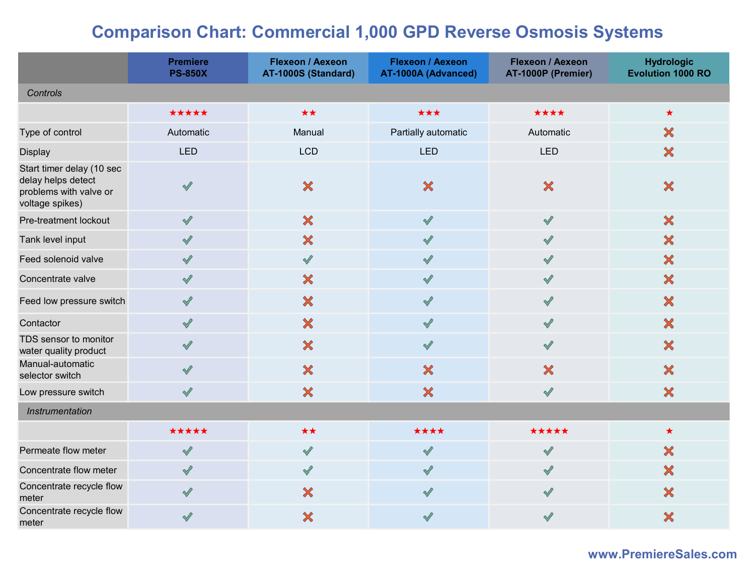## Comparison Chart: Commercial 1,000 GPD Reverse Osmosis Systems

|                                                                                              | <b>Premiere</b><br><b>PS-850X</b> | <b>Flexeon / Aexeon</b><br>AT-1000S (Standard) | <b>Flexeon / Aexeon</b><br>AT-1000A (Advanced) | <b>Flexeon / Aexeon</b><br>AT-1000P (Premier) | <b>Hydrologic</b><br><b>Evolution 1000 RO</b> |
|----------------------------------------------------------------------------------------------|-----------------------------------|------------------------------------------------|------------------------------------------------|-----------------------------------------------|-----------------------------------------------|
| Controls                                                                                     |                                   |                                                |                                                |                                               |                                               |
|                                                                                              | *****                             | $\star\star$                                   | ***                                            | ****                                          | $\star$                                       |
| Type of control                                                                              | Automatic                         | Manual                                         | Partially automatic                            | Automatic                                     | $\boldsymbol{\mathsf{x}}$                     |
| Display                                                                                      | <b>LED</b>                        | <b>LCD</b>                                     | <b>LED</b>                                     | LED                                           | ×                                             |
| Start timer delay (10 sec<br>delay helps detect<br>problems with valve or<br>voltage spikes) | $\sqrt{2}$                        | $\boldsymbol{\mathsf{x}}$                      | $\boldsymbol{\mathsf{x}}$                      | $\boldsymbol{\mathsf{x}}$                     | $\boldsymbol{\mathsf{x}}$                     |
| Pre-treatment lockout                                                                        | $\sqrt{2}$                        | $\boldsymbol{\mathsf{x}}$                      | $\sqrt{2}$                                     | $\sqrt{}$                                     | $\boldsymbol{\mathsf{x}}$                     |
| Tank level input                                                                             | $\sqrt{}$                         | $\boldsymbol{\mathsf{x}}$                      | $\sqrt{2}$                                     | $\sqrt{}$                                     | $\boldsymbol{\mathsf{x}}$                     |
| Feed solenoid valve                                                                          | $\checkmark$                      | $\sqrt{}$                                      | $\sqrt{2}$                                     | $\sqrt{ }$                                    | ×                                             |
| Concentrate valve                                                                            | $\sqrt{2}$                        | ×                                              | $\sqrt{2}$                                     | $\sqrt{}$                                     | $\boldsymbol{\mathsf{x}}$                     |
| Feed low pressure switch                                                                     | $\sqrt{2}$                        | $\boldsymbol{\mathsf{x}}$                      | $\sqrt{2}$                                     | $\sqrt{}$                                     | $\boldsymbol{\mathsf{x}}$                     |
| Contactor                                                                                    | $\sqrt{}$                         | ×                                              | $\sqrt{2}$                                     | $\sqrt{}$                                     | $\boldsymbol{\mathsf{x}}$                     |
| TDS sensor to monitor<br>water quality product                                               | $\checkmark$                      | $\boldsymbol{\mathsf{x}}$                      | $\sqrt{2}$                                     | $\checkmark$                                  | $\boldsymbol{\mathsf{x}}$                     |
| Manual-automatic<br>selector switch                                                          | $\sqrt{}$                         | $\boldsymbol{\mathsf{x}}$                      | ×                                              | $\boldsymbol{\mathsf{X}}$                     | $\boldsymbol{\mathsf{x}}$                     |
| Low pressure switch                                                                          | $\checkmark$                      | ×                                              | ×                                              | $\checkmark$                                  | $\boldsymbol{\mathsf{x}}$                     |
| Instrumentation                                                                              |                                   |                                                |                                                |                                               |                                               |
|                                                                                              | *****                             | **                                             | ****                                           | *****                                         | $\star$                                       |
| Permeate flow meter                                                                          | $\sqrt{}$                         | $\sqrt{2}$                                     | $\sqrt{2}$                                     | $\sqrt{2}$                                    | $\boldsymbol{\mathsf{x}}$                     |
| Concentrate flow meter                                                                       | $\sqrt{2}$                        | $\sqrt{2}$                                     | $\sqrt{2}$                                     | $\sqrt{}$                                     | $\boldsymbol{\mathsf{x}}$                     |
| Concentrate recycle flow<br>meter                                                            | $\sqrt{2}$                        | $\boldsymbol{\mathsf{x}}$                      | $\sqrt{2}$                                     | $\sqrt{}$                                     | $\boldsymbol{\mathsf{x}}$                     |
| Concentrate recycle flow<br>meter                                                            | $\sqrt{2}$                        | ×                                              | $\sqrt{ }$                                     | $\sqrt{}$                                     | $\boldsymbol{\mathsf{x}}$                     |